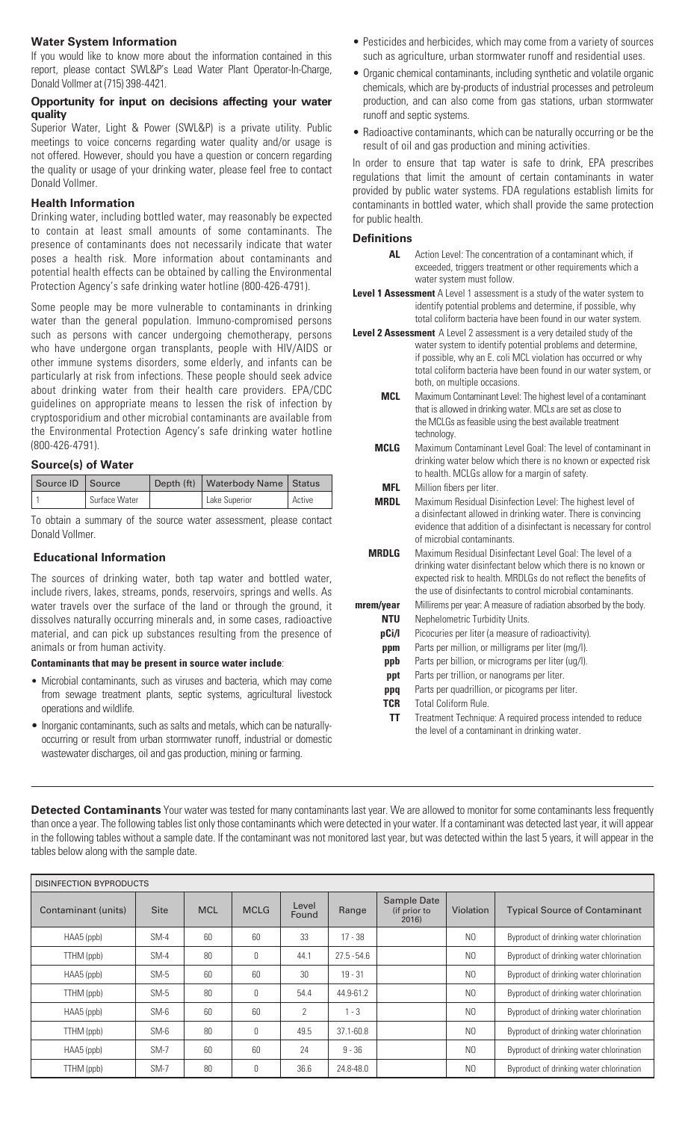# **Water System Information**

If you would like to know more about the information contained in this report, please contact SWL&P's Lead Water Plant Operator-In-Charge, Donald Vollmer at (715) 398-4421.

# **Opportunity for input on decisions affecting your water quality**

Superior Water, Light & Power (SWL&P) is a private utility. Public meetings to voice concerns regarding water quality and/or usage is not offered. However, should you have a question or concern regarding the quality or usage of your drinking water, please feel free to contact Donald Vollmer.

# **Health Information**

Drinking water, including bottled water, may reasonably be expected to contain at least small amounts of some contaminants. The presence of contaminants does not necessarily indicate that water poses a health risk. More information about contaminants and potential health effects can be obtained by calling the Environmental Protection Agency's safe drinking water hotline (800-426-4791).

Some people may be more vulnerable to contaminants in drinking water than the general population. Immuno-compromised persons such as persons with cancer undergoing chemotherapy, persons who have undergone organ transplants, people with HIV/AIDS or other immune systems disorders, some elderly, and infants can be particularly at risk from infections. These people should seek advice about drinking water from their health care providers. EPA/CDC guidelines on appropriate means to lessen the risk of infection by cryptosporidium and other microbial contaminants are available from the Environmental Protection Agency's safe drinking water hotline (800-426-4791).

# **Source(s) of Water**

| Source ID Source |               | Depth (ft)   Waterbody Name   Status |        |  |
|------------------|---------------|--------------------------------------|--------|--|
|                  | Surface Water | Lake Superior                        | Active |  |

To obtain a summary of the source water assessment, please contact Donald Vollmer.

# **Educational Information**

The sources of drinking water, both tap water and bottled water, include rivers, lakes, streams, ponds, reservoirs, springs and wells. As water travels over the surface of the land or through the ground, it dissolves naturally occurring minerals and, in some cases, radioactive material, and can pick up substances resulting from the presence of animals or from human activity.

#### **Contaminants that may be present in source water include**:

- Microbial contaminants, such as viruses and bacteria, which may come from sewage treatment plants, septic systems, agricultural livestock operations and wildlife.
- Inorganic contaminants, such as salts and metals, which can be naturallyoccurring or result from urban stormwater runoff, industrial or domestic wastewater discharges, oil and gas production, mining or farming.
- Pesticides and herbicides, which may come from a variety of sources such as agriculture, urban stormwater runoff and residential uses.
- Organic chemical contaminants, including synthetic and volatile organic chemicals, which are by-products of industrial processes and petroleum production, and can also come from gas stations, urban stormwater runoff and septic systems.
- Radioactive contaminants, which can be naturally occurring or be the result of oil and gas production and mining activities.

In order to ensure that tap water is safe to drink, EPA prescribes regulations that limit the amount of certain contaminants in water provided by public water systems. FDA regulations establish limits for contaminants in bottled water, which shall provide the same protection for public health.

# **Definitions**

- **AL** Action Level: The concentration of a contaminant which, if exceeded, triggers treatment or other requirements which a water system must follow.
- **Level 1 Assessment** A Level 1 assessment is a study of the water system to identify potential problems and determine, if possible, why total coliform bacteria have been found in our water system.

**Level 2 Assessment** A Level 2 assessment is a very detailed study of the water system to identify potential problems and determine, if possible, why an E. coli MCL violation has occurred or why total coliform bacteria have been found in our water system, or both, on multiple occasions.

- **MCL** Maximum Contaminant Level: The highest level of a contaminant that is allowed in drinking water. MCLs are set as close to the MCLGs as feasible using the best available treatment technology.
- **MCLG** Maximum Contaminant Level Goal: The level of contaminant in drinking water below which there is no known or expected risk to health. MCLGs allow for a margin of safety.
	- **MFL** Million fibers per liter.

**MRDL** Maximum Residual Disinfection Level: The highest level of a disinfectant allowed in drinking water. There is convincing evidence that addition of a disinfectant is necessary for control of microbial contaminants.

- **MRDLG** Maximum Residual Disinfectant Level Goal: The level of a drinking water disinfectant below which there is no known or expected risk to health. MRDLGs do not reflect the benefits of the use of disinfectants to control microbial contaminants. **mrem/year** Millirems per year: A measure of radiation absorbed by the body. **NTU** Nephelometric Turbidity Units. **pCi/l** Picocuries per liter (a measure of radioactivity).
	- **ppm** Parts per million, or milligrams per liter (mg/l).
	- **ppb** Parts per billion, or micrograms per liter (ug/l).
	- **ppt** Parts per trillion, or nanograms per liter.
	- **ppq** Parts per quadrillion, or picograms per liter.
	- **TCR** Total Coliform Rule.
	- **TT** Treatment Technique: A required process intended to reduce the level of a contaminant in drinking water.

**Detected Contaminants** Your water was tested for many contaminants last year. We are allowed to monitor for some contaminants less frequently than once a year. The following tables list only those contaminants which were detected in your water. If a contaminant was detected last year, it will appear in the following tables without a sample date. If the contaminant was not monitored last year, but was detected within the last 5 years, it will appear in the tables below along with the sample date.

| <b>DISINFECTION BYPRODUCTS</b> |             |            |             |                |               |                                      |                  |                                          |
|--------------------------------|-------------|------------|-------------|----------------|---------------|--------------------------------------|------------------|------------------------------------------|
| Contaminant (units)            | <b>Site</b> | <b>MCL</b> | <b>MCLG</b> | Level<br>Found | Range         | Sample Date<br>(if prior to<br>2016) | <b>Violation</b> | <b>Typical Source of Contaminant</b>     |
| HAA5 (ppb)                     | $SM-4$      | 60         | 60          | 33             | $17 - 38$     |                                      | N <sub>0</sub>   | Byproduct of drinking water chlorination |
| TTHM (ppb)                     | $SM-4$      | 80         | 0           | 44.1           | $27.5 - 54.6$ |                                      | N <sub>0</sub>   | Byproduct of drinking water chlorination |
| HAA5 (ppb)                     | $SM-5$      | 60         | 60          | 30             | $19 - 31$     |                                      | N <sub>0</sub>   | Byproduct of drinking water chlorination |
| TTHM (ppb)                     | $SM-5$      | 80         | 0           | 54.4           | 44.9-61.2     |                                      | N <sub>0</sub>   | Byproduct of drinking water chlorination |
| HAA5 (ppb)                     | $SM-6$      | 60         | 60          | 2              | 1 - 3         |                                      | N <sub>0</sub>   | Byproduct of drinking water chlorination |
| TTHM (ppb)                     | $SM-6$      | 80         | 0           | 49.5           | $37.1 - 60.8$ |                                      | N <sub>0</sub>   | Byproduct of drinking water chlorination |
| HAA5 (ppb)                     | $SM-7$      | 60         | 60          | 24             | $9 - 36$      |                                      | N <sub>0</sub>   | Byproduct of drinking water chlorination |
| TTHM (ppb)                     | $SM-7$      | 80         | 0           | 36.6           | 24.8-48.0     |                                      | N <sub>0</sub>   | Byproduct of drinking water chlorination |